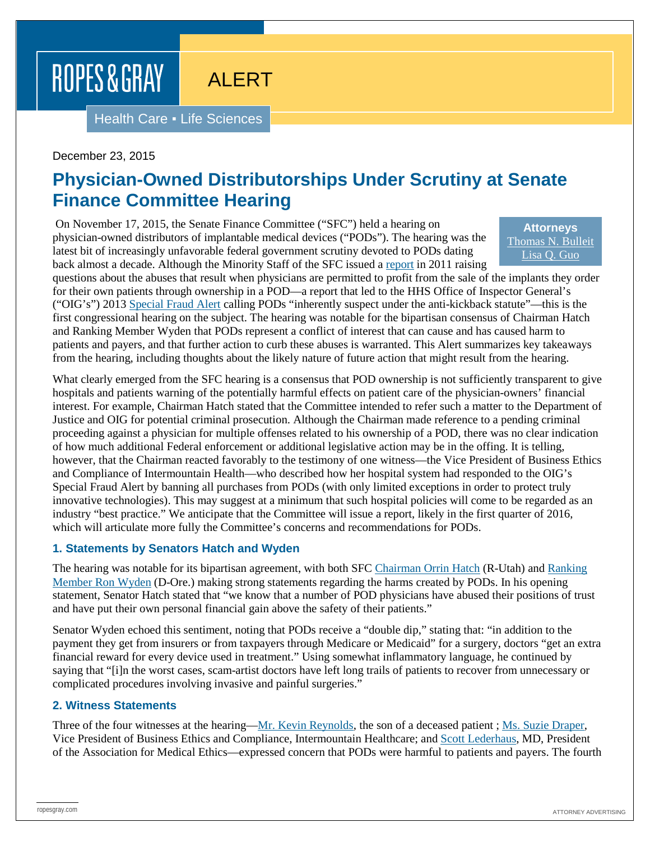# ROPES & GRAY

ALERT

Health Care . Life Sciences

## December 23, 2015

# **Physician-Owned Distributorships Under Scrutiny at Senate Finance Committee Hearing**

On November 17, 2015, the Senate Finance Committee ("SFC") held a hearing on physician-owned distributors of implantable medical devices ("PODs"). The hearing was the latest bit of increasingly unfavorable federal government scrutiny devoted to PODs dating back almost a decade. Although the Minority Staff of the SFC issued a [report](http://www.finance.senate.gov/newsroom/ranking/release/?id=126c415e-f1a3-41e9-ab49-665a71188f1c) in 2011 raising

**Attorneys** [Thomas N. Bulleit](https://www.ropesgray.com/biographies/b/Thomas-Bulleit.aspx)  [Lisa Q. Guo](https://www.ropesgray.com/biographies/g/lisa-guo.aspx)

questions about the abuses that result when physicians are permitted to profit from the sale of the implants they order for their own patients through ownership in a POD—a report that led to the HHS Office of Inspector General's ("OIG's") 201[3 Special Fraud Alert](http://oig.hhs.gov/fraud/docs/alertsandbulletins/2013/POD_Special_Fraud_Alert.pdf) calling PODs "inherently suspect under the anti-kickback statute"—this is the first congressional hearing on the subject. The hearing was notable for the bipartisan consensus of Chairman Hatch and Ranking Member Wyden that PODs represent a conflict of interest that can cause and has caused harm to patients and payers, and that further action to curb these abuses is warranted. This Alert summarizes key takeaways from the hearing, including thoughts about the likely nature of future action that might result from the hearing.

What clearly emerged from the SFC hearing is a consensus that POD ownership is not sufficiently transparent to give hospitals and patients warning of the potentially harmful effects on patient care of the physician-owners' financial interest. For example, Chairman Hatch stated that the Committee intended to refer such a matter to the Department of Justice and OIG for potential criminal prosecution. Although the Chairman made reference to a pending criminal proceeding against a physician for multiple offenses related to his ownership of a POD, there was no clear indication of how much additional Federal enforcement or additional legislative action may be in the offing. It is telling, however, that the Chairman reacted favorably to the testimony of one witness—the Vice President of Business Ethics and Compliance of Intermountain Health—who described how her hospital system had responded to the OIG's Special Fraud Alert by banning all purchases from PODs (with only limited exceptions in order to protect truly innovative technologies). This may suggest at a minimum that such hospital policies will come to be regarded as an industry "best practice." We anticipate that the Committee will issue a report, likely in the first quarter of 2016, which will articulate more fully the Committee's concerns and recommendations for PODs.

### **1. Statements by Senators Hatch and Wyden**

The hearing was notable for its bipartisan agreement, with both SFC [Chairman Orrin Hatch](http://www.finance.senate.gov/imo/media/doc/11.17.15%20Hatch%20Statement%20at%20Finance%20Hearing%20on%20Physician%20Owned%20Distributorships.pdf) (R-Utah) and [Ranking](http://www.finance.senate.gov/imo/media/doc/111715%20Wyden%20Hearing%20Statement%20on%20Physician-Owned%20Distributorships1.pdf)  [Member Ron Wyden](http://www.finance.senate.gov/imo/media/doc/111715%20Wyden%20Hearing%20Statement%20on%20Physician-Owned%20Distributorships1.pdf) (D-Ore.) making strong statements regarding the harms created by PODs. In his opening statement, Senator Hatch stated that "we know that a number of POD physicians have abused their positions of trust and have put their own personal financial gain above the safety of their patients."

Senator Wyden echoed this sentiment, noting that PODs receive a "double dip," stating that: "in addition to the payment they get from insurers or from taxpayers through Medicare or Medicaid" for a surgery, doctors "get an extra financial reward for every device used in treatment." Using somewhat inflammatory language, he continued by saying that "[i]n the worst cases, scam-artist doctors have left long trails of patients to recover from unnecessary or complicated procedures involving invasive and painful surgeries."

## **2. Witness Statements**

Three of the four witnesses at the hearing[—Mr. Kevin Reynolds,](http://www.finance.senate.gov/imo/media/doc/Mr.%20Reynolds%20Final%20Testimony.pdf) the son of a deceased patient ; [Ms. Suzie Draper,](http://www.finance.senate.gov/imo/media/doc/Ms.%20Draper%20Final%20Testimony.pdf) Vice President of Business Ethics and Compliance, Intermountain Healthcare; and [Scott Lederhaus,](http://www.finance.senate.gov/imo/media/doc/Dr.%20Lederhaus%20Final%20Testimony.pdf) MD, President of the Association for Medical Ethics—expressed concern that PODs were harmful to patients and payers. The fourth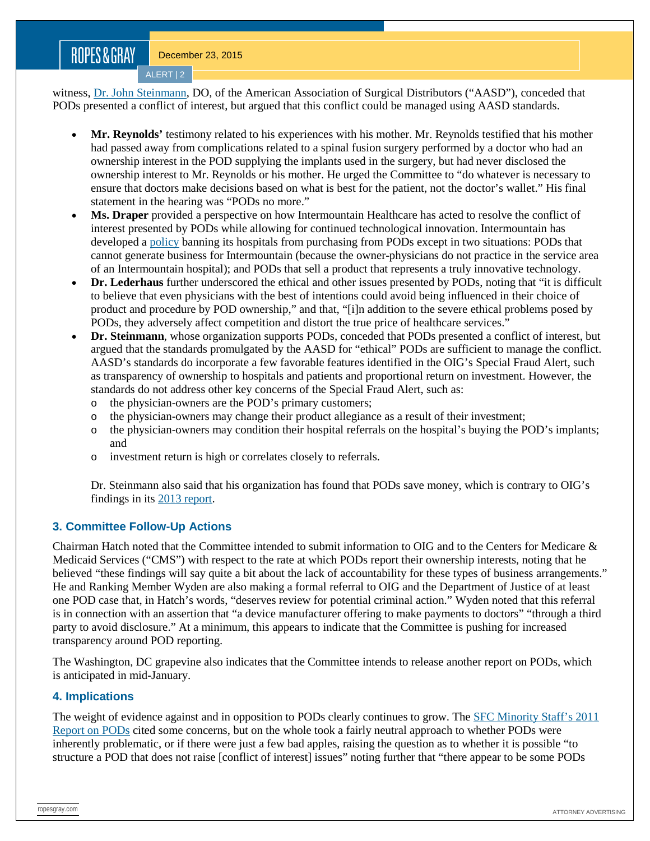ALERT | 2

witness, [Dr. John Steinmann,](http://www.finance.senate.gov/imo/media/doc/Dr.%20Steinmann%20Final%20Testimony.pdf) DO, of the American Association of Surgical Distributors ("AASD"), conceded that PODs presented a conflict of interest, but argued that this conflict could be managed using AASD standards.

- **Mr. Reynolds'** testimony related to his experiences with his mother. Mr. Reynolds testified that his mother had passed away from complications related to a spinal fusion surgery performed by a doctor who had an ownership interest in the POD supplying the implants used in the surgery, but had never disclosed the ownership interest to Mr. Reynolds or his mother. He urged the Committee to "do whatever is necessary to ensure that doctors make decisions based on what is best for the patient, not the doctor's wallet." His final statement in the hearing was "PODs no more."
- **Ms. Draper** provided a perspective on how Intermountain Healthcare has acted to resolve the conflict of interest presented by PODs while allowing for continued technological innovation. Intermountain has developed a [policy](https://www.ropesgray.com/%7E/media/Files/Mini-Sites/POD/Intermountain-Policy-on-Physician-Owned-Entities-Financial-Arrangements-Policy.ashx) banning its hospitals from purchasing from PODs except in two situations: PODs that cannot generate business for Intermountain (because the owner-physicians do not practice in the service area of an Intermountain hospital); and PODs that sell a product that represents a truly innovative technology.
- **Dr. Lederhaus** further underscored the ethical and other issues presented by PODs, noting that "it is difficult to believe that even physicians with the best of intentions could avoid being influenced in their choice of product and procedure by POD ownership," and that, "[i]n addition to the severe ethical problems posed by PODs, they adversely affect competition and distort the true price of healthcare services."
- **Dr. Steinmann**, whose organization supports PODs, conceded that PODs presented a conflict of interest, but argued that the standards promulgated by the AASD for "ethical" PODs are sufficient to manage the conflict. AASD's standards do incorporate a few favorable features identified in the OIG's Special Fraud Alert, such as transparency of ownership to hospitals and patients and proportional return on investment. However, the standards do not address other key concerns of the Special Fraud Alert, such as:
	- o the physician-owners are the POD's primary customers;
	- o the physician-owners may change their product allegiance as a result of their investment;
	- o the physician-owners may condition their hospital referrals on the hospital's buying the POD's implants; and
	- o investment return is high or correlates closely to referrals.

Dr. Steinmann also said that his organization has found that PODs save money, which is contrary to OIG's findings in its [2013 report.](http://oig.hhs.gov/oei/reports/oei-01-11-00660.asp)

### **3. Committee Follow-Up Actions**

Chairman Hatch noted that the Committee intended to submit information to OIG and to the Centers for Medicare & Medicaid Services ("CMS") with respect to the rate at which PODs report their ownership interests, noting that he believed "these findings will say quite a bit about the lack of accountability for these types of business arrangements." He and Ranking Member Wyden are also making a formal referral to OIG and the Department of Justice of at least one POD case that, in Hatch's words, "deserves review for potential criminal action." Wyden noted that this referral is in connection with an assertion that "a device manufacturer offering to make payments to doctors" "through a third party to avoid disclosure." At a minimum, this appears to indicate that the Committee is pushing for increased transparency around POD reporting.

The Washington, DC grapevine also indicates that the Committee intends to release another report on PODs, which is anticipated in mid-January.

### **4. Implications**

The weight of evidence against and in opposition to PODs clearly continues to grow. The SFC Minority Staff's 2011 [Report on PODs](http://www.finance.senate.gov/newsroom/ranking/release/?id=126c415e-f1a3-41e9-ab49-665a71188f1c) cited some concerns, but on the whole took a fairly neutral approach to whether PODs were inherently problematic, or if there were just a few bad apples, raising the question as to whether it is possible "to structure a POD that does not raise [conflict of interest] issues" noting further that "there appear to be some PODs